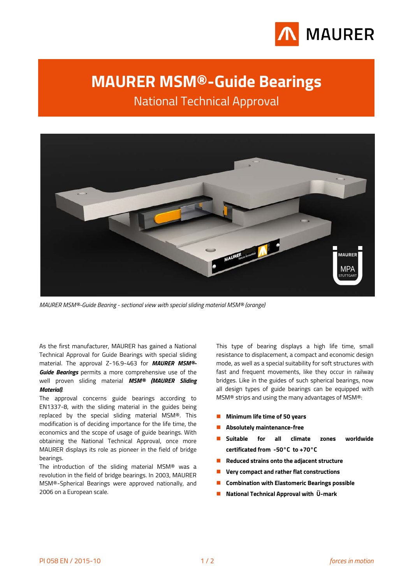

# <span id="page-0-0"></span>**MAURER MSM®-Guide Bearings**

National Technical Approval

<span id="page-0-1"></span>

*MAURER MSM®-Guide Bearing - sectional view with special sliding material MSM® (orange)*

As the first manufacturer, MAURER has gained a National Technical Approval for Guide Bearings with special sliding material. The approval Z-16.9-463 for *MAURER MSM®- Guide Bearings* permits a more comprehensive use of the well proven sliding material *MSM® (MAURER Sliding Material)*.

The approval concerns guide bearings according to EN1337-8, with the sliding material in the guides being replaced by the special sliding material MSM®. This modification is of deciding importance for the life time, the economics and the scope of usage of guide bearings. With obtaining the National Technical Approval, once more MAURER displays its role as pioneer in the field of bridge bearings.

The introduction of the sliding material MSM® was a revolution in the field of bridge bearings. In 2003, MAURER MSM®-Spherical Bearings were approved nationally, and 2006 on a European scale.

This type of bearing displays a high life time, small resistance to displacement, a compact and economic design mode, as well as a special suitability for soft structures with fast and frequent movements, like they occur in railway bridges. Like in the guides of such spherical bearings, now all design types of guide bearings can be equipped with MSM® strips and using the many advantages of MSM®:

- **Minimum life time of 50 years**
- **Absolutely maintenance-free**
- **Suitable for all climate zones worldwide certificated from -50°C to +70°C**
- **Reduced strains onto the adjacent structure**
- **Very compact and rather flat constructions**
- **Combination with Elastomeric Bearings possible**
- **National Technical Approval with Ü-mark**